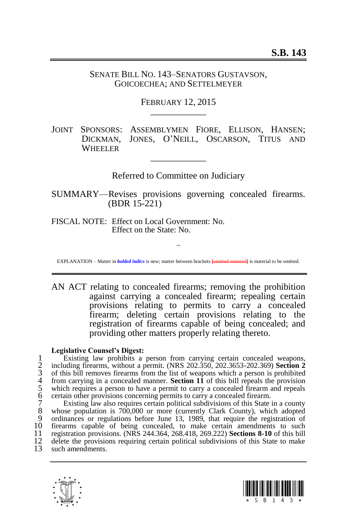### SENATE BILL NO. 143–SENATORS GUSTAVSON, GOICOECHEA; AND SETTELMEYER

# FEBRUARY 12, 2015 \_\_\_\_\_\_\_\_\_\_\_\_

JOINT SPONSORS: ASSEMBLYMEN FIORE, ELLISON, HANSEN; DICKMAN, JONES, O'NEILL, OSCARSON, TITUS AND **WHEELER** 

Referred to Committee on Judiciary

\_\_\_\_\_\_\_\_\_\_\_\_

SUMMARY—Revises provisions governing concealed firearms. (BDR 15-221)

FISCAL NOTE: Effect on Local Government: No. Effect on the State: No.

~ EXPLANATION – Matter in *bolded italics* is new; matter between brackets **[**omitted material**]** is material to be omitted.

AN ACT relating to concealed firearms; removing the prohibition against carrying a concealed firearm; repealing certain provisions relating to permits to carry a concealed firearm; deleting certain provisions relating to the registration of firearms capable of being concealed; and providing other matters properly relating thereto.

#### **Legislative Counsel's Digest:**

Existing law prohibits a person from carrying certain concealed weapons,<br>
2 including firearms, without a permit. (NRS 202.350, 202.3653-202.369) **Section 2**<br>
3 of this bill removes firearms from the list of weapons which 2 including firearms, without a permit. (NRS 202.350, 202.3653-202.369) **Section [2](#page-2-0)** 3 of this bill removes firearms from the list of weapons which a person is prohibited 4 from carrying in a concealed manner. **Section [11](#page-14-0)** of this bill repeals the provision which requires a person to have a permit to carry a concealed firearm and repeals certain other provisions concerning permits to carry a concealed firearm.

Existing law also requires certain political subdivisions of this State in a county 8 whose population is 700,000 or more (currently Clark County), which adopted 9 ordinances or regulations before June 13, 1989, that require the registration of 10 firearms capable of being concealed, to make certain amendments to such 11 registration provisions. (NRS 244.364, 268.418, 269.222) **Sections 8-10** of this bill 11 registration provisions. (NRS 244.364, 268.418, 269.222) **Sections [8](#page-12-0)[-10](#page-13-0)** of this bill 12 delete the provisions requiring certain political subdivisions of this State to make  $13$  such amendments. such amendments.



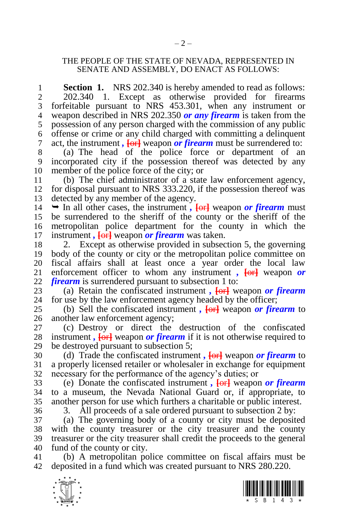### THE PEOPLE OF THE STATE OF NEVADA, REPRESENTED IN SENATE AND ASSEMBLY, DO ENACT AS FOLLOWS:

 **Section 1.** NRS 202.340 is hereby amended to read as follows: 2 202.340 1. Except as otherwise provided for firearms<br>3 forfeitable pursuant to NRS 453.301, when any instrument or forfeitable pursuant to NRS 453.301, when any instrument or weapon described in NRS 202.350 *or any firearm* is taken from the possession of any person charged with the commission of any public offense or crime or any child charged with committing a delinquent act, the instrument *,* **[**or**]** weapon *or firearm* must be surrendered to:

 (a) The head of the police force or department of an incorporated city if the possession thereof was detected by any member of the police force of the city; or

 (b) The chief administrator of a state law enforcement agency, for disposal pursuant to NRS 333.220, if the possession thereof was detected by any member of the agency.

 In all other cases, the instrument *,* **[**or**]** weapon *or firearm* must be surrendered to the sheriff of the county or the sheriff of the metropolitan police department for the county in which the 17 instrument, **[or**] weapon *or firearm* was taken.

 2. Except as otherwise provided in subsection 5, the governing body of the county or city or the metropolitan police committee on fiscal affairs shall at least once a year order the local law enforcement officer to whom any instrument *,* **[**or**]** weapon *or firearm* is surrendered pursuant to subsection 1 to:

 (a) Retain the confiscated instrument *,* **[**or**]** weapon *or firearm*  24 for use by the law enforcement agency headed by the officer;<br>25 (b) Sell the confiscated instrument. **For the set of the office** 

 (b) Sell the confiscated instrument *,* **[**or**]** weapon *or firearm* to another law enforcement agency;

27 (c) Destroy or direct the destruction of the confiscated 28 instrument. **For all the example of the confiscated** to instrument, **[or**] weapon *or firearm* if it is not otherwise required to be destroyed pursuant to subsection 5;

 (d) Trade the confiscated instrument *,* **[**or**]** weapon *or firearm* to a properly licensed retailer or wholesaler in exchange for equipment necessary for the performance of the agency's duties; or

 (e) Donate the confiscated instrument *,* **[**or**]** weapon *or firearm*  to a museum, the Nevada National Guard or, if appropriate, to another person for use which furthers a charitable or public interest.

3. All proceeds of a sale ordered pursuant to subsection 2 by:

 (a) The governing body of a county or city must be deposited with the county treasurer or the city treasurer and the county treasurer or the city treasurer shall credit the proceeds to the general fund of the county or city.

 (b) A metropolitan police committee on fiscal affairs must be deposited in a fund which was created pursuant to NRS 280.220.



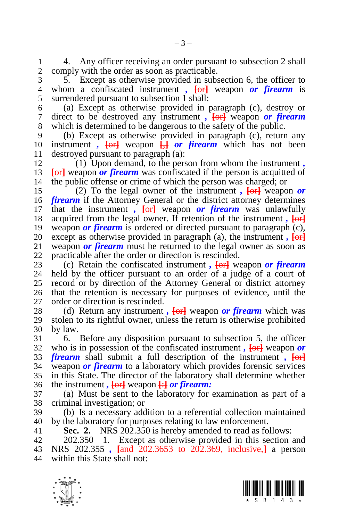1 4. Any officer receiving an order pursuant to subsection 2 shall<br>2 comply with the order as soon as practicable. comply with the order as soon as practicable.

 5. Except as otherwise provided in subsection 6, the officer to whom a confiscated instrument *,* **[**or**]** weapon *or firearm* is surrendered pursuant to subsection 1 shall:

 (a) Except as otherwise provided in paragraph (c), destroy or direct to be destroyed any instrument *,* **[**or**]** weapon *or firearm*  which is determined to be dangerous to the safety of the public.

 (b) Except as otherwise provided in paragraph (c), return any instrument *,* **[**or**]** weapon **[**,**]** *or firearm* which has not been 11 destroyed pursuant to paragraph (a):<br>12 (1) Upon demand, to the pers

 (1) Upon demand, to the person from whom the instrument *,*  **[**or**]** weapon *or firearm* was confiscated if the person is acquitted of the public offense or crime of which the person was charged; or

15 (2) To the legal owner of the instrument,  $\overline{\text{terl}}$  weapon or *firearm* if the Attorney General or the district attorney determines that the instrument *,* **[**or**]** weapon *or firearm* was unlawfully 18 acquired from the legal owner. If retention of the instrument,  $\overline{\text{erf}}$  weapon *or firearm* is ordered or directed pursuant to paragraph (c), 20 except as otherwise provided in paragraph (a), the instrument *,*  $\overline{\{or\}}$ <br>21 weapon *or firearm* must be returned to the legal owner as soon as weapon *or firearm* must be returned to the legal owner as soon as practicable after the order or direction is rescinded.

23 (c) Retain the confiscated instrument,  $\overline{\{or\}}$  weapon *or firearm* 24 held by the officer pursuant to an order of a judge of a court of held by the officer pursuant to an order of a judge of a court of record or by direction of the Attorney General or district attorney that the retention is necessary for purposes of evidence, until the order or direction is rescinded.

 (d) Return any instrument *,* **[**or**]** weapon *or firearm* which was stolen to its rightful owner, unless the return is otherwise prohibited by law.

 6. Before any disposition pursuant to subsection 5, the officer who is in possession of the confiscated instrument *,* **[**or**]** weapon *or firearm* shall submit a full description of the instrument *,* **[**or**]** weapon *or firearm* to a laboratory which provides forensic services in this State. The director of the laboratory shall determine whether the instrument *,* **[**or**]** weapon **[**:**]** *or firearm:*

 (a) Must be sent to the laboratory for examination as part of a criminal investigation; or

 (b) Is a necessary addition to a referential collection maintained by the laboratory for purposes relating to law enforcement.

<span id="page-2-0"></span>**Sec. 2.** NRS 202.350 is hereby amended to read as follows:

 202.350 1. Except as otherwise provided in this section and NRS 202.355 *,* **[**and 202.3653 to 202.369, inclusive,**]** a person within this State shall not:



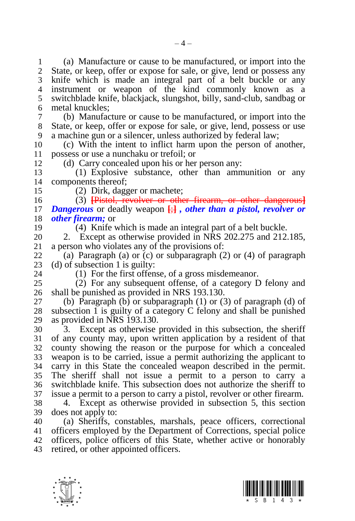(a) Manufacture or cause to be manufactured, or import into the State, or keep, offer or expose for sale, or give, lend or possess any knife which is made an integral part of a belt buckle or any instrument or weapon of the kind commonly known as a switchblade knife, blackjack, slungshot, billy, sand-club, sandbag or metal knuckles;

 (b) Manufacture or cause to be manufactured, or import into the State, or keep, offer or expose for sale, or give, lend, possess or use a machine gun or a silencer, unless authorized by federal law;

 (c) With the intent to inflict harm upon the person of another, possess or use a nunchaku or trefoil; or

(d) Carry concealed upon his or her person any:

 (1) Explosive substance, other than ammunition or any components thereof;

(2) Dirk, dagger or machete;

 (3) **[**Pistol, revolver or other firearm, or other dangerous**]** *Dangerous* or deadly weapon **[**;**]** *, other than a pistol, revolver or other firearm;* or

(4) Knife which is made an integral part of a belt buckle.

 2. Except as otherwise provided in NRS 202.275 and 212.185, a person who violates any of the provisions of:

22 (a) Paragraph (a) or  $(c)$  or subparagraph (2) or  $(4)$  of paragraph 23 (d) of subsection 1 is guilty:<br>24 (1) For the first offen

 $(1)$  For the first offense, of a gross misdemeanor.

 (2) For any subsequent offense, of a category D felony and shall be punished as provided in NRS 193.130.

 (b) Paragraph (b) or subparagraph (1) or (3) of paragraph (d) of subsection 1 is guilty of a category C felony and shall be punished as provided in NRS 193.130.

 3. Except as otherwise provided in this subsection, the sheriff of any county may, upon written application by a resident of that county showing the reason or the purpose for which a concealed weapon is to be carried, issue a permit authorizing the applicant to carry in this State the concealed weapon described in the permit. The sheriff shall not issue a permit to a person to carry a switchblade knife. This subsection does not authorize the sheriff to issue a permit to a person to carry a pistol, revolver or other firearm.

 4. Except as otherwise provided in subsection 5, this section does not apply to:

 (a) Sheriffs, constables, marshals, peace officers, correctional officers employed by the Department of Corrections, special police officers, police officers of this State, whether active or honorably retired, or other appointed officers.



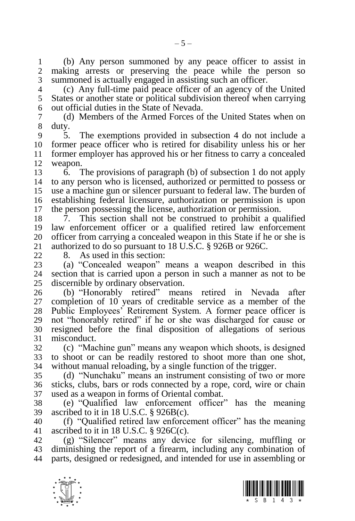(b) Any person summoned by any peace officer to assist in making arrests or preserving the peace while the person so summoned is actually engaged in assisting such an officer.

 (c) Any full-time paid peace officer of an agency of the United States or another state or political subdivision thereof when carrying out official duties in the State of Nevada.

 (d) Members of the Armed Forces of the United States when on duty.

 5. The exemptions provided in subsection 4 do not include a former peace officer who is retired for disability unless his or her former employer has approved his or her fitness to carry a concealed weapon.

 6. The provisions of paragraph (b) of subsection 1 do not apply to any person who is licensed, authorized or permitted to possess or use a machine gun or silencer pursuant to federal law. The burden of establishing federal licensure, authorization or permission is upon the person possessing the license, authorization or permission.

 7. This section shall not be construed to prohibit a qualified law enforcement officer or a qualified retired law enforcement 20 officer from carrying a concealed weapon in this State if he or she is authorized to do so pursuant to 18 U.S.C. § 926B or 926C. authorized to do so pursuant to U.S.C. § 926B or 926C.

8. As used in this section:

 (a) "Concealed weapon" means a weapon described in this section that is carried upon a person in such a manner as not to be discernible by ordinary observation.

 (b) "Honorably retired" means retired in Nevada after completion of 10 years of creditable service as a member of the Public Employees' Retirement System. A former peace officer is not "honorably retired" if he or she was discharged for cause or resigned before the final disposition of allegations of serious misconduct.

 (c) "Machine gun" means any weapon which shoots, is designed to shoot or can be readily restored to shoot more than one shot, without manual reloading, by a single function of the trigger.

 (d) "Nunchaku" means an instrument consisting of two or more sticks, clubs, bars or rods connected by a rope, cord, wire or chain used as a weapon in forms of Oriental combat.

 (e) "Qualified law enforcement officer" has the meaning ascribed to it in 18 U.S.C. § 926B(c).

 (f) "Qualified retired law enforcement officer" has the meaning ascribed to it in 18 U.S.C. § 926C(c).

 (g) "Silencer" means any device for silencing, muffling or diminishing the report of a firearm, including any combination of parts, designed or redesigned, and intended for use in assembling or



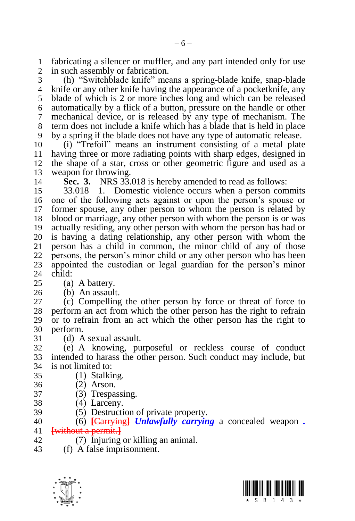fabricating a silencer or muffler, and any part intended only for use in such assembly or fabrication.

 (h) "Switchblade knife" means a spring-blade knife, snap-blade knife or any other knife having the appearance of a pocketknife, any blade of which is 2 or more inches long and which can be released automatically by a flick of a button, pressure on the handle or other mechanical device, or is released by any type of mechanism. The term does not include a knife which has a blade that is held in place by a spring if the blade does not have any type of automatic release.

 (i) "Trefoil" means an instrument consisting of a metal plate 11 having three or more radiating points with sharp edges, designed in 12 the shape of a star, cross or other geometric figure and used as a the shape of a star, cross or other geometric figure and used as a weapon for throwing.

**Sec. 3.** NRS 33.018 is hereby amended to read as follows:

 33.018 1. Domestic violence occurs when a person commits one of the following acts against or upon the person's spouse or former spouse, any other person to whom the person is related by blood or marriage, any other person with whom the person is or was actually residing, any other person with whom the person has had or is having a dating relationship, any other person with whom the person has a child in common, the minor child of any of those persons, the person's minor child or any other person who has been appointed the custodian or legal guardian for the person's minor child:<br>25 (a)

- $(a)$  A battery.
- (b) An assault.

 (c) Compelling the other person by force or threat of force to perform an act from which the other person has the right to refrain or to refrain from an act which the other person has the right to perform.

(d) A sexual assault.

 (e) A knowing, purposeful or reckless course of conduct intended to harass the other person. Such conduct may include, but is not limited to:

- (1) Stalking.
- (2) Arson.
- (3) Trespassing.
- (4) Larceny.
- (5) Destruction of private property.

 (6) **[**Carrying**]** *Unlawfully carrying* a concealed weapon *.*  **[**without a permit.**]**

- (7) Injuring or killing an animal.
- (f) A false imprisonment.



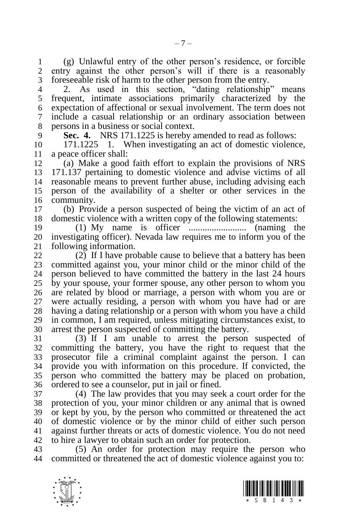(g) Unlawful entry of the other person's residence, or forcible entry against the other person's will if there is a reasonably foreseeable risk of harm to the other person from the entry.

 2. As used in this section, "dating relationship" means frequent, intimate associations primarily characterized by the expectation of affectional or sexual involvement. The term does not include a casual relationship or an ordinary association between persons in a business or social context.

**Sec. 4.** NRS 171.1225 is hereby amended to read as follows:

 171.1225 1. When investigating an act of domestic violence, a peace officer shall:

 (a) Make a good faith effort to explain the provisions of NRS 171.137 pertaining to domestic violence and advise victims of all reasonable means to prevent further abuse, including advising each person of the availability of a shelter or other services in the community.

 (b) Provide a person suspected of being the victim of an act of domestic violence with a written copy of the following statements:

 (1) My name is officer ......................... (naming the investigating officer). Nevada law requires me to inform you of the following information.

 (2) If I have probable cause to believe that a battery has been 23 committed against you, your minor child or the minor child of the part of the part of the means the means of the means of the means of the means of the means of the means of the means of the means of the means of the me person believed to have committed the battery in the last 24 hours by your spouse, your former spouse, any other person to whom you are related by blood or marriage, a person with whom you are or were actually residing, a person with whom you have had or are having a dating relationship or a person with whom you have a child in common, I am required, unless mitigating circumstances exist, to arrest the person suspected of committing the battery.

 (3) If I am unable to arrest the person suspected of committing the battery, you have the right to request that the prosecutor file a criminal complaint against the person. I can provide you with information on this procedure. If convicted, the person who committed the battery may be placed on probation, ordered to see a counselor, put in jail or fined.

 (4) The law provides that you may seek a court order for the protection of you, your minor children or any animal that is owned or kept by you, by the person who committed or threatened the act of domestic violence or by the minor child of either such person against further threats or acts of domestic violence. You do not need to hire a lawyer to obtain such an order for protection.

 (5) An order for protection may require the person who committed or threatened the act of domestic violence against you to:



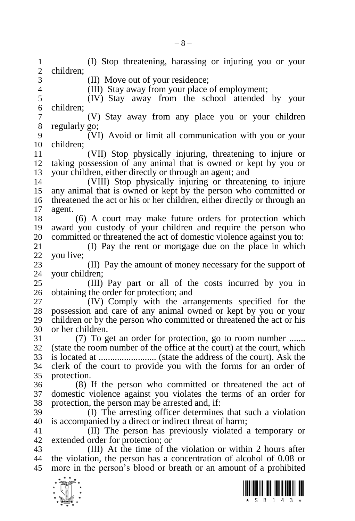$\frac{1}{x}$   $\frac{1}{s}$   $\frac{1}{s}$   $\frac{1}{s}$   $\frac{1}{s}$   $\frac{1}{s}$   $\frac{1}{s}$   $\frac{1}{s}$   $\frac{1}{s}$   $\frac{1}{s}$   $\frac{1}{s}$   $\frac{1}{s}$   $\frac{1}{s}$   $\frac{1}{s}$   $\frac{1}{s}$   $\frac{1}{s}$   $\frac{1}{s}$   $\frac{1}{s}$   $\frac{1}{s}$   $\frac{1}{s}$   $\frac{1}{s}$   $\frac{1}{s}$  (I) Stop threatening, harassing or injuring you or your children: (II) Move out of your residence; (III) Stay away from your place of employment; (IV) Stay away from the school attended by your children; (V) Stay away from any place you or your children regularly go; (VI) Avoid or limit all communication with you or your children; (VII) Stop physically injuring, threatening to injure or taking possession of any animal that is owned or kept by you or your children, either directly or through an agent; and (VIII) Stop physically injuring or threatening to injure any animal that is owned or kept by the person who committed or threatened the act or his or her children, either directly or through an agent. (6) A court may make future orders for protection which award you custody of your children and require the person who 20 committed or threatened the act of domestic violence against you to:<br>21 (D) Pay the rent or mortgage due on the place in which (I) Pay the rent or mortgage due on the place in which you live; 23 (II) Pay the amount of money necessary for the support of 24 vour children: vour children: (III) Pay part or all of the costs incurred by you in obtaining the order for protection; and (IV) Comply with the arrangements specified for the possession and care of any animal owned or kept by you or your children or by the person who committed or threatened the act or his or her children. (7) To get an order for protection, go to room number ....... (state the room number of the office at the court) at the court, which is located at ......................... (state the address of the court). Ask the clerk of the court to provide you with the forms for an order of protection. (8) If the person who committed or threatened the act of domestic violence against you violates the terms of an order for protection, the person may be arrested and, if: (I) The arresting officer determines that such a violation is accompanied by a direct or indirect threat of harm; (II) The person has previously violated a temporary or extended order for protection; or (III) At the time of the violation or within 2 hours after the violation, the person has a concentration of alcohol of 0.08 or more in the person's blood or breath or an amount of a prohibited

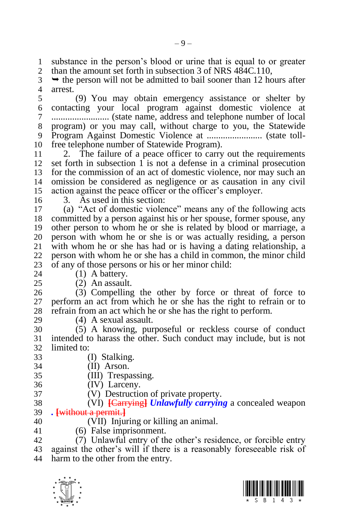substance in the person's blood or urine that is equal to or greater 2 than the amount set forth in subsection 3 of NRS 484C.110,

 $3 \rightarrow$  the person will not be admitted to bail sooner than 12 hours after arrest.

 (9) You may obtain emergency assistance or shelter by contacting your local program against domestic violence at ......................... (state name, address and telephone number of local program) or you may call, without charge to you, the Statewide Program Against Domestic Violence at ........................ (state toll-free telephone number of Statewide Program).

11 2. The failure of a peace officer to carry out the requirements<br>12 set forth in subsection 1 is not a defense in a criminal prosecution set forth in subsection is not a defense in a criminal prosecution for the commission of an act of domestic violence, nor may such an omission be considered as negligence or as causation in any civil action against the peace officer or the officer's employer.

3. As used in this section:

 (a) "Act of domestic violence" means any of the following acts committed by a person against his or her spouse, former spouse, any other person to whom he or she is related by blood or marriage, a 20 person with whom he or she is or was actually residing, a person 21 with whom he or she has had or is having a dating relationship, a with whom he or she has had or is having a dating relationship, a person with whom he or she has a child in common, the minor child 23 of any of those persons or his or her minor child:<br>24 (1) A battery.

 $(1)$  A battery.

(2) An assault.

 (3) Compelling the other by force or threat of force to perform an act from which he or she has the right to refrain or to refrain from an act which he or she has the right to perform.

(4) A sexual assault.

 (5) A knowing, purposeful or reckless course of conduct intended to harass the other. Such conduct may include, but is not limited to:

- (I) Stalking.
- (II) Arson.
- (III) Trespassing.
- (IV) Larceny.
- (V) Destruction of private property.

 (VI) **[**Carrying**]** *Unlawfully carrying* a concealed weapon *.* **[**without a permit.**]**

- (VII) Injuring or killing an animal.
- (6) False imprisonment.

 (7) Unlawful entry of the other's residence, or forcible entry against the other's will if there is a reasonably foreseeable risk of harm to the other from the entry.



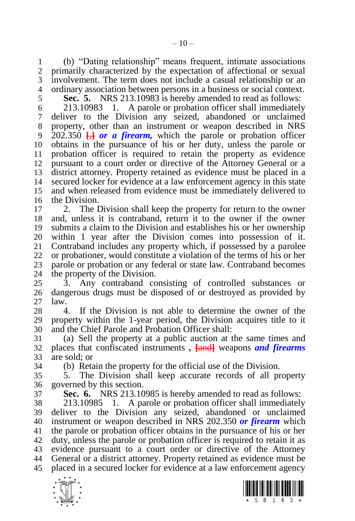(b) "Dating relationship" means frequent, intimate associations primarily characterized by the expectation of affectional or sexual involvement. The term does not include a casual relationship or an ordinary association between persons in a business or social context.

 **Sec. 5.** NRS 213.10983 is hereby amended to read as follows: 213.10983 1. A parole or probation officer shall immediately

 deliver to the Division any seized, abandoned or unclaimed property, other than an instrument or weapon described in NRS 202.350 **[**,**]** *or a firearm,* which the parole or probation officer obtains in the pursuance of his or her duty, unless the parole or probation officer is required to retain the property as evidence pursuant to a court order or directive of the Attorney General or a district attorney. Property retained as evidence must be placed in a secured locker for evidence at a law enforcement agency in this state and when released from evidence must be immediately delivered to the Division.

 2. The Division shall keep the property for return to the owner and, unless it is contraband, return it to the owner if the owner submits a claim to the Division and establishes his or her ownership within 1 year after the Division comes into possession of it. Contraband includes any property which, if possessed by a parolee or probationer, would constitute a violation of the terms of his or her 23 parole or probation or any federal or state law. Contraband becomes the property of the Division. the property of the Division.

 3. Any contraband consisting of controlled substances or dangerous drugs must be disposed of or destroyed as provided by law.

 4. If the Division is not able to determine the owner of the property within the 1-year period, the Division acquires title to it and the Chief Parole and Probation Officer shall:

 (a) Sell the property at a public auction at the same times and places that confiscated instruments *,* **[**and**]** weapons *and firearms*  are sold; or

(b) Retain the property for the official use of the Division.

 5. The Division shall keep accurate records of all property governed by this section.

**Sec. 6.** NRS 213.10985 is hereby amended to read as follows:

 213.10985 1. A parole or probation officer shall immediately deliver to the Division any seized, abandoned or unclaimed instrument or weapon described in NRS 202.350 *or firearm* which the parole or probation officer obtains in the pursuance of his or her duty, unless the parole or probation officer is required to retain it as evidence pursuant to a court order or directive of the Attorney General or a district attorney. Property retained as evidence must be placed in a secured locker for evidence at a law enforcement agency



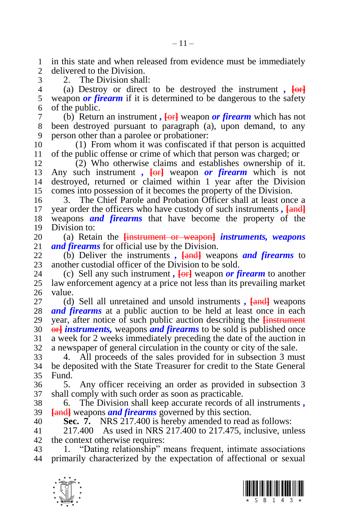1 in this state and when released from evidence must be immediately<br>2 delivered to the Division. delivered to the Division.

2. The Division shall:

 (a) Destroy or direct to be destroyed the instrument *,* **[**or**]** weapon *or firearm* if it is determined to be dangerous to the safety of the public.

 (b) Return an instrument *,* **[**or**]** weapon *or firearm* which has not been destroyed pursuant to paragraph (a), upon demand, to any person other than a parolee or probationer:

 (1) From whom it was confiscated if that person is acquitted of the public offense or crime of which that person was charged; or

 (2) Who otherwise claims and establishes ownership of it. Any such instrument *,* **[**or**]** weapon *or firearm* which is not destroyed, returned or claimed within 1 year after the Division comes into possession of it becomes the property of the Division.

 3. The Chief Parole and Probation Officer shall at least once a year order the officers who have custody of such instruments *,* **[**and**]** weapons *and firearms* that have become the property of the Division to:

 (a) Retain the **[**instrument or weapon**]** *instruments, weapons and firearms* for official use by the Division.

 (b) Deliver the instruments *,* **[**and**]** weapons *and firearms* to 23 another custodial officer of the Division to be sold.<br>24 (c) Sell any such instrument. For twee solar fraction of function of the second of the second of the second of the second of the second of the second of the seco

 (c) Sell any such instrument *,* **[**or**]** weapon *or firearm* to another law enforcement agency at a price not less than its prevailing market value.

 (d) Sell all unretained and unsold instruments *,* **[**and**]** weapons *and firearms* at a public auction to be held at least once in each year, after notice of such public auction describing the **[**instrument or**]** *instruments,* weapons *and firearms* to be sold is published once a week for 2 weeks immediately preceding the date of the auction in a newspaper of general circulation in the county or city of the sale.

 4. All proceeds of the sales provided for in subsection 3 must be deposited with the State Treasurer for credit to the State General Fund.

 5. Any officer receiving an order as provided in subsection 3 shall comply with such order as soon as practicable.

 6. The Division shall keep accurate records of all instruments *,*  **[**and**]** weapons *and firearms* governed by this section.

**Sec. 7.** NRS 217.400 is hereby amended to read as follows:

 217.400 As used in NRS 217.400 to 217.475, inclusive, unless the context otherwise requires:

 1. "Dating relationship" means frequent, intimate associations primarily characterized by the expectation of affectional or sexual



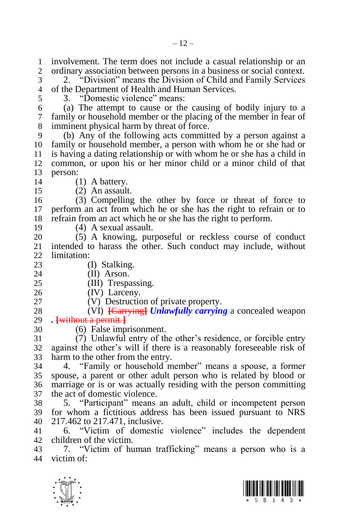involvement. The term does not include a casual relationship or an ordinary association between persons in a business or social context.

 2. "Division" means the Division of Child and Family Services of the Department of Health and Human Services.

3. "Domestic violence" means:

 (a) The attempt to cause or the causing of bodily injury to a family or household member or the placing of the member in fear of imminent physical harm by threat of force.

 (b) Any of the following acts committed by a person against a family or household member, a person with whom he or she had or is having a dating relationship or with whom he or she has a child in common, or upon his or her minor child or a minor child of that person:

 (1) A battery. (2) An assault.

 (3) Compelling the other by force or threat of force to perform an act from which he or she has the right to refrain or to refrain from an act which he or she has the right to perform.

(4) A sexual assault.

 (5) A knowing, purposeful or reckless course of conduct intended to harass the other. Such conduct may include, without limitation:

- 23 (I) Stalking.<br>24 (II) Arson.
	- $(II)$  Arson.
- (III) Trespassing.
- (IV) Larceny.
- (V) Destruction of private property.

 (VI) **[**Carrying**]** *Unlawfully carrying* a concealed weapon *.* **[**without a permit.**]**

(6) False imprisonment.

 (7) Unlawful entry of the other's residence, or forcible entry against the other's will if there is a reasonably foreseeable risk of harm to the other from the entry.

 4. "Family or household member" means a spouse, a former spouse, a parent or other adult person who is related by blood or marriage or is or was actually residing with the person committing the act of domestic violence.

 5. "Participant" means an adult, child or incompetent person for whom a fictitious address has been issued pursuant to NRS 217.462 to 217.471, inclusive.

 6. "Victim of domestic violence" includes the dependent children of the victim.

 7. "Victim of human trafficking" means a person who is a victim of:



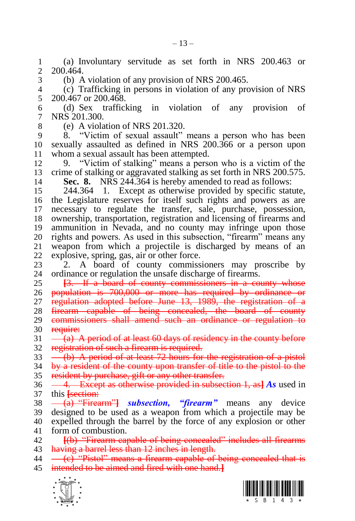(a) Involuntary servitude as set forth in NRS 200.463 or 200.464.

(b) A violation of any provision of NRS 200.465.

 (c) Trafficking in persons in violation of any provision of NRS 200.467 or 200.468.

 (d) Sex trafficking in violation of any provision of NRS 201.300.

(e) A violation of NRS 201.320.

 8. "Victim of sexual assault" means a person who has been sexually assaulted as defined in NRS 200.366 or a person upon whom a sexual assault has been attempted.

 9. "Victim of stalking" means a person who is a victim of the crime of stalking or aggravated stalking as set forth in NRS 200.575.

<span id="page-12-0"></span>**Sec. 8.** NRS 244.364 is hereby amended to read as follows:

 244.364 1. Except as otherwise provided by specific statute, the Legislature reserves for itself such rights and powers as are necessary to regulate the transfer, sale, purchase, possession, ownership, transportation, registration and licensing of firearms and ammunition in Nevada, and no county may infringe upon those rights and powers. As used in this subsection, "firearm" means any weapon from which a projectile is discharged by means of an explosive, spring, gas, air or other force.

23 2. A board of county commissioners may proscribe by<br>24 ordinance or regulation the unsafe discharge of firearms. ordinance or regulation the unsafe discharge of firearms.

 **[**3. If a board of county commissioners in a county whose population is 700,000 or more has required by ordinance or regulation adopted before June 13, 1989, the registration of a firearm capable of being concealed, the board of county commissioners shall amend such an ordinance or regulation to

30 require:

 $31 - \hat{a}$  A period of at least 60 days of residency in the county before 32 registration of such a firearm is required.

 $33 \left( b \right)$  A period of at least 72 hours for the registration of a pistol

34 by a resident of the county upon transfer of title to the pistol to the

35 resident by purchase, gift or any other transfer.

 4. Except as otherwise provided in subsection 1, as**]** *As* used in this **[**section:

 (a) "Firearm"**]** *subsection, "firearm"* means any device designed to be used as a weapon from which a projectile may be expelled through the barrel by the force of any explosion or other form of combustion.

 **[**(b) "Firearm capable of being concealed" includes all firearms 43 having a barrel less than 12 inches in length.

 $44 \left( c \right)$  "Pistol" means a firearm capable of being concealed that is intended to be aimed and fired with one hand.**]**



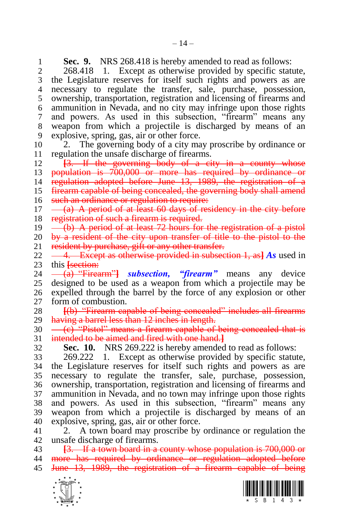**1 Sec. 9.** NRS 268.418 is hereby amended to read as follows:<br>2 268.418 1. Except as otherwise provided by specific stati

 268.418 1. Except as otherwise provided by specific statute, the Legislature reserves for itself such rights and powers as are necessary to regulate the transfer, sale, purchase, possession, ownership, transportation, registration and licensing of firearms and ammunition in Nevada, and no city may infringe upon those rights and powers. As used in this subsection, "firearm" means any weapon from which a projectile is discharged by means of an explosive, spring, gas, air or other force.

 2. The governing body of a city may proscribe by ordinance or regulation the unsafe discharge of firearms.

**[**3. If the governing body of a city in a county whose

13 population is 700,000 or more has required by ordinance or

14 regulation adopted before June 13, 1989, the registration of a

15 firearm capable of being concealed, the governing body shall amend 16 such an ordinance or regulation to require:

 $17 \quad -$  (a) A period of at least 60 days of residency in the city before 18 registration of such a firearm is required.

19  $\leftarrow$  (b) A period of at least 72 hours for the registration of a pistol

20 by a resident of the city upon transfer of title to the pistol to the 21 resident by purchase, gift or any other transfer. resident by purchase, gift or any other transfer.

 4. Except as otherwise provided in subsection 1, as**]** *As* used in 23 this  $\frac{\text{Section:}}{24}$ 

 (a) "Firearm"**]** *subsection, "firearm"* means any device designed to be used as a weapon from which a projectile may be expelled through the barrel by the force of any explosion or other form of combustion.

 **[**(b) "Firearm capable of being concealed" includes all firearms 29 having a barrel less than 12 inches in length.

 $30 \left( \frac{\text{e}}{\text{e}} \right)$  "Pistol" means a firearm capable of being concealed that is intended to be aimed and fired with one hand.**]**

<span id="page-13-0"></span>**Sec. 10.** NRS 269.222 is hereby amended to read as follows:

 269.222 1. Except as otherwise provided by specific statute, the Legislature reserves for itself such rights and powers as are necessary to regulate the transfer, sale, purchase, possession, ownership, transportation, registration and licensing of firearms and ammunition in Nevada, and no town may infringe upon those rights and powers. As used in this subsection, "firearm" means any weapon from which a projectile is discharged by means of an explosive, spring, gas, air or other force.

 2. A town board may proscribe by ordinance or regulation the unsafe discharge of firearms.

 **[**3. If a town board in a county whose population is 700,000 or 44 more has required by ordinance or regulation adopted before June 13, 1989, the registration of a firearm capable of being